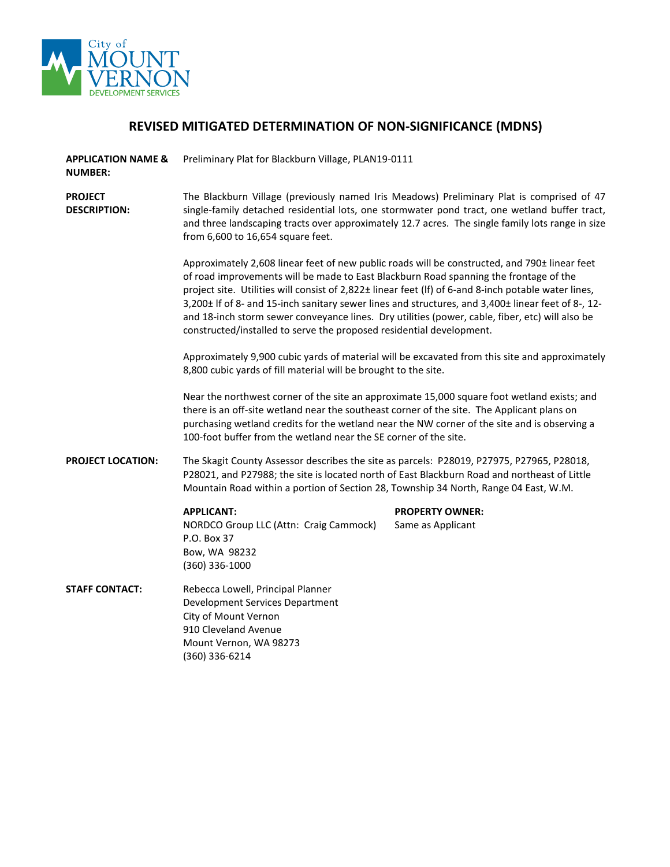

## **REVISED MITIGATED DETERMINATION OF NON-SIGNIFICANCE (MDNS)**

**APPLICATION NAME &**  Preliminary Plat for Blackburn Village, PLAN19-0111

**NUMBER:**

**PROJECT DESCRIPTION:** The Blackburn Village (previously named Iris Meadows) Preliminary Plat is comprised of 47 single-family detached residential lots, one stormwater pond tract, one wetland buffer tract, and three landscaping tracts over approximately 12.7 acres. The single family lots range in size from 6,600 to 16,654 square feet.

> Approximately 2,608 linear feet of new public roads will be constructed, and 790± linear feet of road improvements will be made to East Blackburn Road spanning the frontage of the project site. Utilities will consist of 2,822± linear feet (lf) of 6-and 8-inch potable water lines, 3,200± lf of 8- and 15-inch sanitary sewer lines and structures, and 3,400± linear feet of 8-, 12 and 18-inch storm sewer conveyance lines. Dry utilities (power, cable, fiber, etc) will also be constructed/installed to serve the proposed residential development.

Approximately 9,900 cubic yards of material will be excavated from this site and approximately 8,800 cubic yards of fill material will be brought to the site.

Near the northwest corner of the site an approximate 15,000 square foot wetland exists; and there is an off-site wetland near the southeast corner of the site. The Applicant plans on purchasing wetland credits for the wetland near the NW corner of the site and is observing a 100-foot buffer from the wetland near the SE corner of the site.

**PROJECT LOCATION:** The Skagit County Assessor describes the site as parcels: P28019, P27975, P27965, P28018, P28021, and P27988; the site is located north of East Blackburn Road and northeast of Little Mountain Road within a portion of Section 28, Township 34 North, Range 04 East, W.M.

NORDCO Group LLC (Attn: Craig Cammock) Same as Applicant P.O. Box 37 Bow, WA 98232 (360) 336-1000

## **APPLICANT: PROPERTY OWNER:**

**STAFF CONTACT:** Rebecca Lowell, Principal Planner

Development Services Department City of Mount Vernon 910 Cleveland Avenue Mount Vernon, WA 98273 (360) 336-6214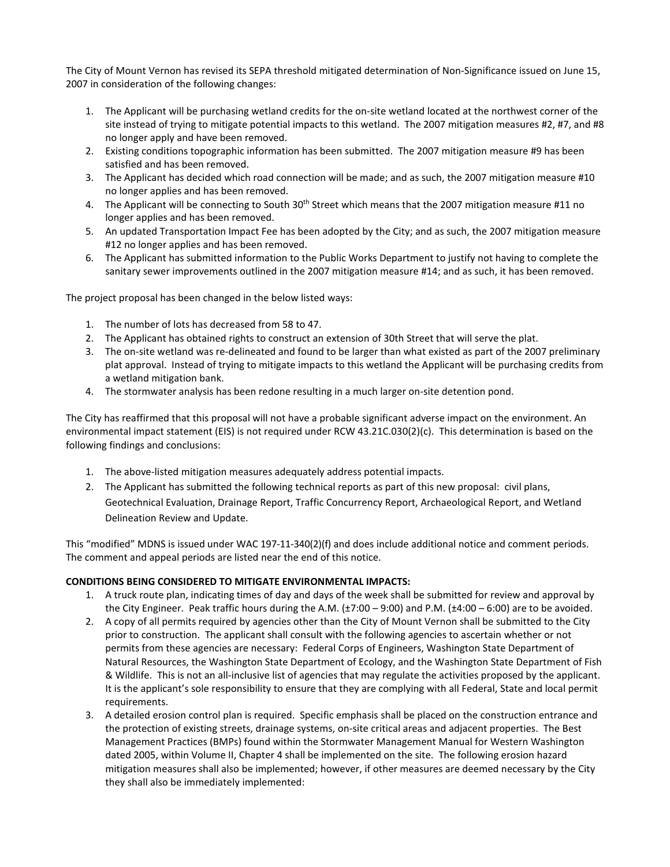The City of Mount Vernon has revised its SEPA threshold mitigated determination of Non-Significance issued on June 15, 2007 in consideration of the following changes:

- 1. The Applicant will be purchasing wetland credits for the on-site wetland located at the northwest corner of the site instead of trying to mitigate potential impacts to this wetland. The 2007 mitigation measures #2, #7, and #8 no longer apply and have been removed.
- 2. Existing conditions topographic information has been submitted. The 2007 mitigation measure #9 has been satisfied and has been removed.
- 3. The Applicant has decided which road connection will be made; and as such, the 2007 mitigation measure #10 no longer applies and has been removed.
- 4. The Applicant will be connecting to South 30<sup>th</sup> Street which means that the 2007 mitigation measure #11 no longer applies and has been removed.
- 5. An updated Transportation Impact Fee has been adopted by the City; and as such, the 2007 mitigation measure #12 no longer applies and has been removed.
- 6. The Applicant has submitted information to the Public Works Department to justify not having to complete the sanitary sewer improvements outlined in the 2007 mitigation measure #14; and as such, it has been removed.

The project proposal has been changed in the below listed ways:

- 1. The number of lots has decreased from 58 to 47.
- 2. The Applicant has obtained rights to construct an extension of 30th Street that will serve the plat.
- 3. The on-site wetland was re-delineated and found to be larger than what existed as part of the 2007 preliminary plat approval. Instead of trying to mitigate impacts to this wetland the Applicant will be purchasing credits from a wetland mitigation bank.
- 4. The stormwater analysis has been redone resulting in a much larger on-site detention pond.

The City has reaffirmed that this proposal will not have a probable significant adverse impact on the environment. An environmental impact statement (EIS) is not required under RCW 43.21C.030(2)(c). This determination is based on the following findings and conclusions:

- 1. The above-listed mitigation measures adequately address potential impacts.
- 2. The Applicant has submitted the following technical reports as part of this new proposal: civil plans, Geotechnical Evaluation, Drainage Report, Traffic Concurrency Report, Archaeological Report, and Wetland Delineation Review and Update.

This "modified" MDNS is issued under WAC 197-11-340(2)(f) and does include additional notice and comment periods. The comment and appeal periods are listed near the end of this notice.

## **CONDITIONS BEING CONSIDERED TO MITIGATE ENVIRONMENTAL IMPACTS:**

- 1. A truck route plan, indicating times of day and days of the week shall be submitted for review and approval by the City Engineer. Peak traffic hours during the A.M. (±7:00 – 9:00) and P.M. (±4:00 – 6:00) are to be avoided.
- 2. A copy of all permits required by agencies other than the City of Mount Vernon shall be submitted to the City prior to construction. The applicant shall consult with the following agencies to ascertain whether or not permits from these agencies are necessary: Federal Corps of Engineers, Washington State Department of Natural Resources, the Washington State Department of Ecology, and the Washington State Department of Fish & Wildlife. This is not an all-inclusive list of agencies that may regulate the activities proposed by the applicant. It is the applicant's sole responsibility to ensure that they are complying with all Federal, State and local permit requirements.
- 3. A detailed erosion control plan is required. Specific emphasis shall be placed on the construction entrance and the protection of existing streets, drainage systems, on-site critical areas and adjacent properties. The Best Management Practices (BMPs) found within the Stormwater Management Manual for Western Washington dated 2005, within Volume II, Chapter 4 shall be implemented on the site. The following erosion hazard mitigation measures shall also be implemented; however, if other measures are deemed necessary by the City they shall also be immediately implemented: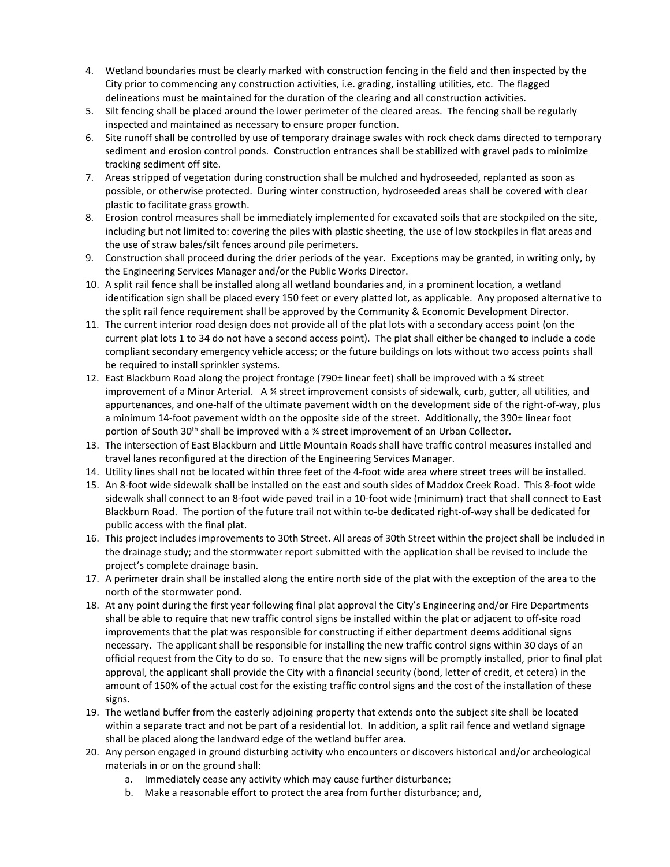- 4. Wetland boundaries must be clearly marked with construction fencing in the field and then inspected by the City prior to commencing any construction activities, i.e. grading, installing utilities, etc. The flagged delineations must be maintained for the duration of the clearing and all construction activities.
- 5. Silt fencing shall be placed around the lower perimeter of the cleared areas. The fencing shall be regularly inspected and maintained as necessary to ensure proper function.
- 6. Site runoff shall be controlled by use of temporary drainage swales with rock check dams directed to temporary sediment and erosion control ponds. Construction entrances shall be stabilized with gravel pads to minimize tracking sediment off site.
- 7. Areas stripped of vegetation during construction shall be mulched and hydroseeded, replanted as soon as possible, or otherwise protected. During winter construction, hydroseeded areas shall be covered with clear plastic to facilitate grass growth.
- 8. Erosion control measures shall be immediately implemented for excavated soils that are stockpiled on the site, including but not limited to: covering the piles with plastic sheeting, the use of low stockpiles in flat areas and the use of straw bales/silt fences around pile perimeters.
- 9. Construction shall proceed during the drier periods of the year. Exceptions may be granted, in writing only, by the Engineering Services Manager and/or the Public Works Director.
- 10. A split rail fence shall be installed along all wetland boundaries and, in a prominent location, a wetland identification sign shall be placed every 150 feet or every platted lot, as applicable. Any proposed alternative to the split rail fence requirement shall be approved by the Community & Economic Development Director.
- 11. The current interior road design does not provide all of the plat lots with a secondary access point (on the current plat lots 1 to 34 do not have a second access point). The plat shall either be changed to include a code compliant secondary emergency vehicle access; or the future buildings on lots without two access points shall be required to install sprinkler systems.
- 12. East Blackburn Road along the project frontage (790± linear feet) shall be improved with a ¾ street improvement of a Minor Arterial. A ¾ street improvement consists of sidewalk, curb, gutter, all utilities, and appurtenances, and one-half of the ultimate pavement width on the development side of the right-of-way, plus a minimum 14-foot pavement width on the opposite side of the street. Additionally, the 390± linear foot portion of South 30th shall be improved with a ¾ street improvement of an Urban Collector.
- 13. The intersection of East Blackburn and Little Mountain Roads shall have traffic control measures installed and travel lanes reconfigured at the direction of the Engineering Services Manager.
- 14. Utility lines shall not be located within three feet of the 4-foot wide area where street trees will be installed.
- 15. An 8-foot wide sidewalk shall be installed on the east and south sides of Maddox Creek Road. This 8-foot wide sidewalk shall connect to an 8-foot wide paved trail in a 10-foot wide (minimum) tract that shall connect to East Blackburn Road. The portion of the future trail not within to-be dedicated right-of-way shall be dedicated for public access with the final plat.
- 16. This project includes improvements to 30th Street. All areas of 30th Street within the project shall be included in the drainage study; and the stormwater report submitted with the application shall be revised to include the project's complete drainage basin.
- 17. A perimeter drain shall be installed along the entire north side of the plat with the exception of the area to the north of the stormwater pond.
- 18. At any point during the first year following final plat approval the City's Engineering and/or Fire Departments shall be able to require that new traffic control signs be installed within the plat or adjacent to off-site road improvements that the plat was responsible for constructing if either department deems additional signs necessary. The applicant shall be responsible for installing the new traffic control signs within 30 days of an official request from the City to do so. To ensure that the new signs will be promptly installed, prior to final plat approval, the applicant shall provide the City with a financial security (bond, letter of credit, et cetera) in the amount of 150% of the actual cost for the existing traffic control signs and the cost of the installation of these signs.
- 19. The wetland buffer from the easterly adjoining property that extends onto the subject site shall be located within a separate tract and not be part of a residential lot. In addition, a split rail fence and wetland signage shall be placed along the landward edge of the wetland buffer area.
- 20. Any person engaged in ground disturbing activity who encounters or discovers historical and/or archeological materials in or on the ground shall:
	- a. Immediately cease any activity which may cause further disturbance;
	- b. Make a reasonable effort to protect the area from further disturbance; and,